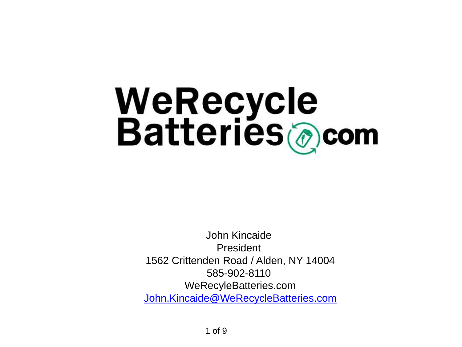# WeRecycle<br>Batteries@com

John Kincaide President 1562 Crittenden Road / Alden, NY 14004 585-902-8110 WeRecyleBatteries.com [John.Kincaide@WeRecycleBatteries.com](mailto:John.Kincaide@WeRecycleBatteries.com)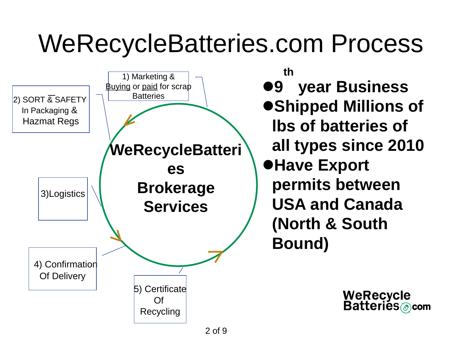#### WeRecycleBatteries.com Process



**9 th year Business Shipped Millions of lbs of batteries of all types since 2010 Have Export permits between USA and Canada (North & South Bound)**

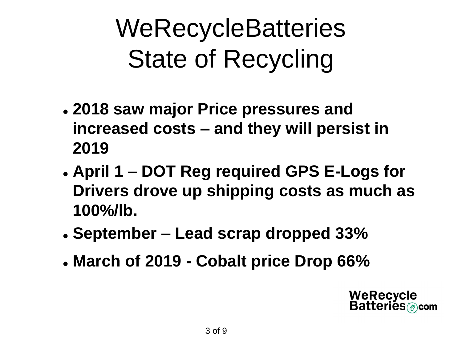### **WeRecycleBatteries** State of Recycling

- **2018 saw major Price pressures and increased costs – and they will persist in 2019**
- **April 1 – DOT Reg required GPS E-Logs for Drivers drove up shipping costs as much as 100%/lb.**
- **September – Lead scrap dropped 33%**
- **March of 2019 - Cobalt price Drop 66%**

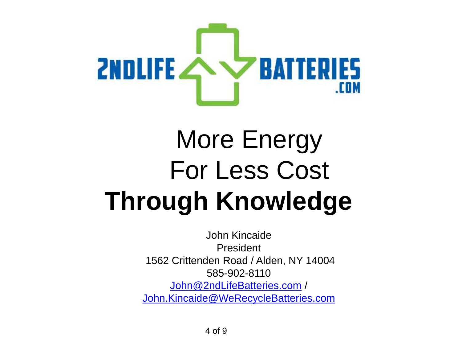

#### More Energy For Less Cost **Through Knowledge**

John Kincaide President 1562 Crittenden Road / Alden, NY 14004 585-902-8110 [John@2ndLifeBatteries.com](mailto:John@2ndLifeBatteries.com) / [John.Kincaide@WeRecycleBatteries.com](mailto:John.Kincaide@WeRecycleBatteries.com)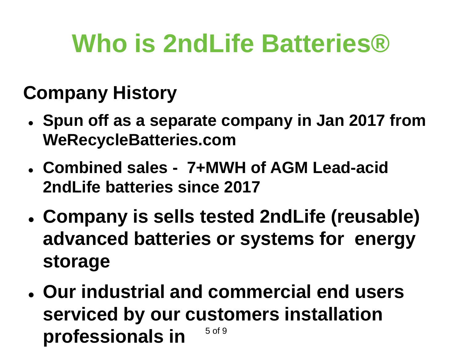#### **Who is 2ndLife Batteries®**

#### **Company History**

- **Spun off as a separate company in Jan 2017 from WeRecycleBatteries.com**
- **Combined sales - 7+MWH of AGM Lead-acid 2ndLife batteries since 2017**
- **Company is sells tested 2ndLife (reusable) advanced batteries or systems for energy storage**
- 5 of 9 **Our industrial and commercial end users serviced by our customers installation professionals in**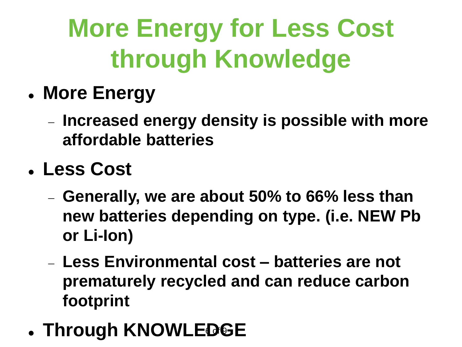## **More Energy for Less Cost through Knowledge**

- **More Energy**
	- **Increased energy density is possible with more affordable batteries**
- **Less Cost**
	- **Generally, we are about 50% to 66% less than new batteries depending on type. (i.e. NEW Pb or Li-Ion)**
	- **Less Environmental cost – batteries are not prematurely recycled and can reduce carbon footprint**
- **. Through KNOWLEDGE**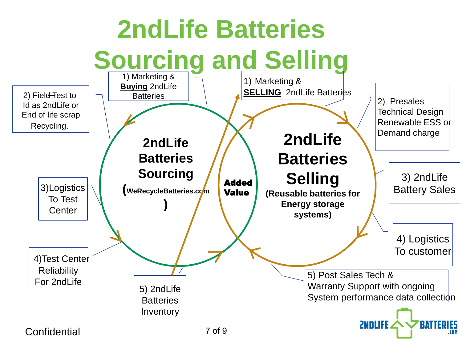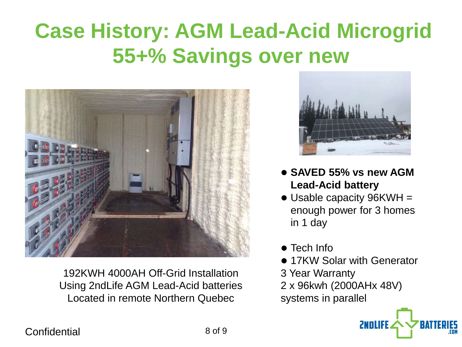#### **Case History: AGM Lead-Acid Microgrid 55+% Savings over new**



192KWH 4000AH Off-Grid Installation Using 2ndLife AGM Lead-Acid batteries Located in remote Northern Quebec



- **SAVED 55% vs new AGM Lead-Acid battery**
- Usable capacity 96KWH = enough power for 3 homes in 1 day
- Tech Info
- **17KW Solar with Generator**

**ZNNIIFF** 

- 3 Year Warranty
- 2 x 96kwh (2000AHx 48V)
- systems in parallel